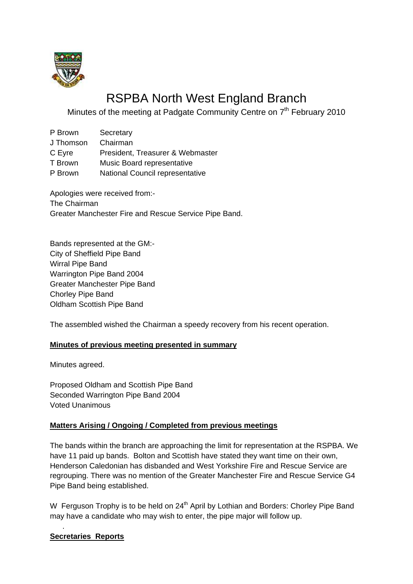

# RSPBA North West England Branch

Minutes of the meeting at Padgate Community Centre on 7<sup>th</sup> February 2010

- P Brown Secretary J Thomson Chairman C Eyre President, Treasurer & Webmaster T Brown Music Board representative
- P Brown National Council representative

Apologies were received from:- The Chairman Greater Manchester Fire and Rescue Service Pipe Band.

Bands represented at the GM:- City of Sheffield Pipe Band Wirral Pipe Band Warrington Pipe Band 2004 Greater Manchester Pipe Band Chorley Pipe Band Oldham Scottish Pipe Band

The assembled wished the Chairman a speedy recovery from his recent operation.

## **Minutes of previous meeting presented in summary**

Minutes agreed.

Proposed Oldham and Scottish Pipe Band Seconded Warrington Pipe Band 2004 Voted Unanimous

## **Matters Arising / Ongoing / Completed from previous meetings**

The bands within the branch are approaching the limit for representation at the RSPBA. We have 11 paid up bands. Bolton and Scottish have stated they want time on their own, Henderson Caledonian has disbanded and West Yorkshire Fire and Rescue Service are regrouping. There was no mention of the Greater Manchester Fire and Rescue Service G4 Pipe Band being established.

W Ferguson Trophy is to be held on 24<sup>th</sup> April by Lothian and Borders: Chorley Pipe Band may have a candidate who may wish to enter, the pipe major will follow up.

#### **Secretaries Reports**

.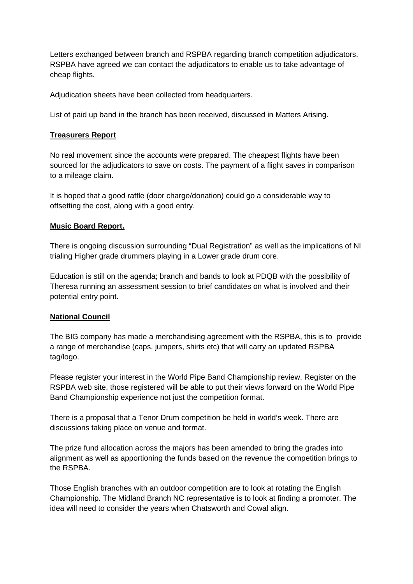Letters exchanged between branch and RSPBA regarding branch competition adjudicators. RSPBA have agreed we can contact the adjudicators to enable us to take advantage of cheap flights.

Adjudication sheets have been collected from headquarters.

List of paid up band in the branch has been received, discussed in Matters Arising.

#### **Treasurers Report**

No real movement since the accounts were prepared. The cheapest flights have been sourced for the adjudicators to save on costs. The payment of a flight saves in comparison to a mileage claim.

It is hoped that a good raffle (door charge/donation) could go a considerable way to offsetting the cost, along with a good entry.

#### **Music Board Report.**

There is ongoing discussion surrounding "Dual Registration" as well as the implications of NI trialing Higher grade drummers playing in a Lower grade drum core.

Education is still on the agenda; branch and bands to look at PDQB with the possibility of Theresa running an assessment session to brief candidates on what is involved and their potential entry point.

## **National Council**

The BIG company has made a merchandising agreement with the RSPBA, this is to provide a range of merchandise (caps, jumpers, shirts etc) that will carry an updated RSPBA tag/logo.

Please register your interest in the World Pipe Band Championship review. Register on the RSPBA web site, those registered will be able to put their views forward on the World Pipe Band Championship experience not just the competition format.

There is a proposal that a Tenor Drum competition be held in world's week. There are discussions taking place on venue and format.

The prize fund allocation across the majors has been amended to bring the grades into alignment as well as apportioning the funds based on the revenue the competition brings to the RSPBA.

Those English branches with an outdoor competition are to look at rotating the English Championship. The Midland Branch NC representative is to look at finding a promoter. The idea will need to consider the years when Chatsworth and Cowal align.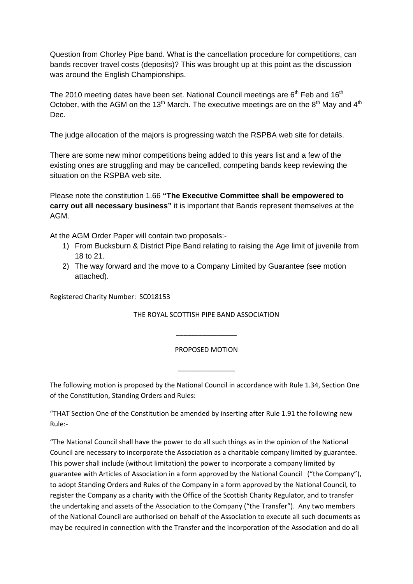Question from Chorley Pipe band. What is the cancellation procedure for competitions, can bands recover travel costs (deposits)? This was brought up at this point as the discussion was around the English Championships.

The 2010 meeting dates have been set. National Council meetings are  $6<sup>th</sup>$  Feb and  $16<sup>th</sup>$ October, with the AGM on the 13<sup>th</sup> March. The executive meetings are on the  $8<sup>th</sup>$  May and  $4<sup>th</sup>$ Dec.

The judge allocation of the majors is progressing watch the RSPBA web site for details.

There are some new minor competitions being added to this years list and a few of the existing ones are struggling and may be cancelled, competing bands keep reviewing the situation on the RSPBA web site.

Please note the constitution 1.66 **"The Executive Committee shall be empowered to carry out all necessary business"** it is important that Bands represent themselves at the AGM.

At the AGM Order Paper will contain two proposals:-

- 1) From Bucksburn & District Pipe Band relating to raising the Age limit of juvenile from 18 to 21.
- 2) The way forward and the move to a Company Limited by Guarantee (see motion attached).

Registered Charity Number: SC018153

THE ROYAL SCOTTISH PIPE BAND ASSOCIATION

PROPOSED MOTION

\_\_\_\_\_\_\_\_\_\_\_\_\_\_\_

\_\_\_\_\_\_\_\_\_\_\_\_\_\_\_\_

The following motion is proposed by the National Council in accordance with Rule 1.34, Section One of the Constitution, Standing Orders and Rules:

"THAT Section One of the Constitution be amended by inserting after Rule 1.91 the following new Rule:‐

"The National Council shall have the power to do all such things as in the opinion of the National Council are necessary to incorporate the Association as a charitable company limited by guarantee. This power shall include (without limitation) the power to incorporate a company limited by guarantee with Articles of Association in a form approved by the National Council ("the Company"), to adopt Standing Orders and Rules of the Company in a form approved by the National Council, to register the Company as a charity with the Office of the Scottish Charity Regulator, and to transfer the undertaking and assets of the Association to the Company ("the Transfer"). Any two members of the National Council are authorised on behalf of the Association to execute all such documents as may be required in connection with the Transfer and the incorporation of the Association and do all